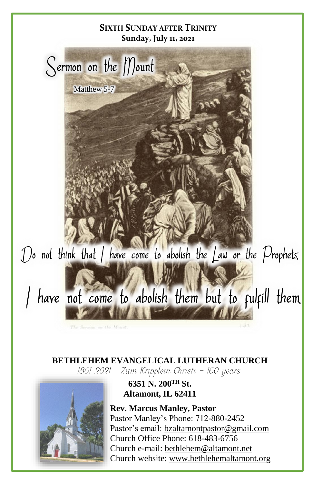

# **BETHLEHEM EVANGELICAL LUTHERAN CHURCH**<br>1861-2021 - Zum Kripplein Christi - 160 years



## **6351 N. 200TH St. Altamont, IL 62411**

**Rev. Marcus Manley, Pastor** Pastor Manley's Phone: 712-880-2452 Pastor's email[: bzaltamontpastor@gmail.com](mailto:bzaltamontpastor@gmail.com) Church Office Phone: 618-483-6756 Church e-mail: [bethlehem@altamont.net](mailto:bethlehem@altamont.net)  Church website: [www.bethlehemaltamont.org](http://www.bethlehemaltamont.org/)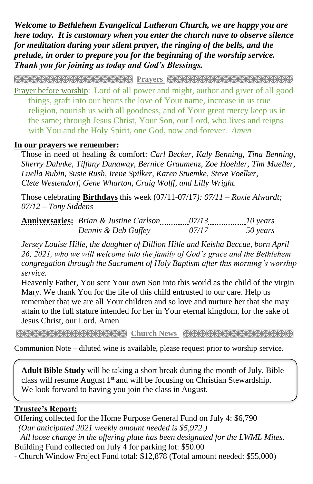*Welcome to Bethlehem Evangelical Lutheran Church, we are happy you are here today. It is customary when you enter the church nave to observe silence for meditation during your silent prayer, the ringing of the bells, and the prelude, in order to prepare you for the beginning of the worship service. Thank you for joining us today and God's Blessings.*

**PRAYARANA NATURAL PROTECT PARAMETERING CONTROLLER** Prayer before worship:Lord of all power and might, author and giver of all good things, graft into our hearts the love of Your name, increase in us true religion, nourish us with all goodness, and of Your great mercy keep us in the same; through Jesus Christ, Your Son, our Lord, who lives and reigns with You and the Holy Spirit, one God, now and forever. *Amen* 

#### **In our prayers we remember:**

Those in need of healing & comfort: *Carl Becker, Kaly Benning, Tina Benning, Sherry Dahnke, Tiffany Dunaway, Bernice Graumenz, Zoe Hoehler, Tim Mueller, Luella Rubin, Susie Rush, Irene Spilker, Karen Stuemke, Steve Voelker, Clete Westendorf, Gene Wharton, Craig Wolff, and Lilly Wright.*

Those celebrating **Birthdays** this week (07/11-07/17*): 07/11 – Roxie Alwardt; 07/12 – Tony Siddens*

| <br><b>Anniversaries:</b> Brian & Justine Carlson | --------------<br>----------------   |  |
|---------------------------------------------------|--------------------------------------|--|
| Dennis & Deb Guffev                               | ---------------<br>----------------- |  |

*Jersey Louise Hille, the daughter of Dillion Hille and Keisha Beccue, born April 26, 2021, who we will welcome into the family of God's grace and the Bethlehem congregation through the Sacrament of Holy Baptism after this morning's worship service.*

Heavenly Father, You sent Your own Son into this world as the child of the virgin Mary. We thank You for the life of this child entrusted to our care. Help us remember that we are all Your children and so love and nurture her that she may attain to the full stature intended for her in Your eternal kingdom, for the sake of Jesus Christ, our Lord. Amen

**Church News State State State State State State State State State State State State State State State State State** 

Communion Note – diluted wine is available, please request prior to worship service.

**Adult Bible Study** will be taking a short break during the month of July. Bible class will resume August  $1<sup>st</sup>$  and will be focusing on Christian Stewardship. We look forward to having you join the class in August.

### **Trustee's Report:**

Offering collected for the Home Purpose General Fund on July 4: \$6,790  *(Our anticipated 2021 weekly amount needed is \$5,972.)* 

 *All loose change in the offering plate has been designated for the LWML Mites.* Building Fund collected on July 4 for parking lot: \$50.00

- Church Window Project Fund total: \$12,878 (Total amount needed: \$55,000)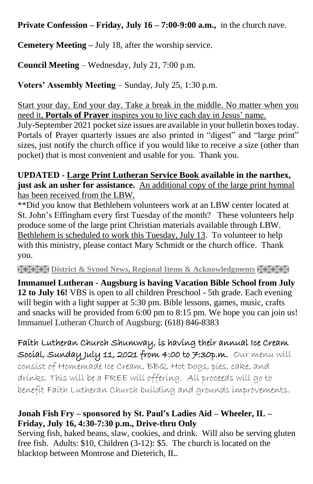**Private Confession – Friday, July 16 – 7:00-9:00 a.m.,** in the church nave.

**Cemetery Meeting –** July 18, after the worship service.

**Council Meeting** – Wednesday, July 21, 7:00 p.m.

**Voters' Assembly Meeting** – Sunday, July 25, 1:30 p.m.

Start your day. End your day. Take a break in the middle. No matter when you need it, **Portals of Prayer** inspires you to live each day in Jesus' name.

July-September 2021 pocket size issues are available in your bulletin boxes today. Portals of Prayer quarterly issues are also printed in "digest" and "large print" sizes, just notify the church office if you would like to receive a size (other than pocket) that is most convenient and usable for you. Thank you.

### **UPDATED - Large Print Lutheran Service Book available in the narthex, just ask an usher for assistance.** An additional copy of the large print hymnal has been received from the LBW.

\*\*Did you know that Bethlehem volunteers work at an LBW center located at St. John's Effingham every first Tuesday of the month? These volunteers help produce some of the large print Christian materials available through LBW. Bethlehem is scheduled to work this Tuesday, July 13. To volunteer to help with this ministry, please contact Mary Schmidt or the church office. Thank you.

**RESERVED ISSUED IN EXAMPLE IN ACKNOWLY ASSESSED IN EXAMPLE IS A LIGHTER PROPERTY ASSESSED IN A LIGHTER PROPERTY** 

**Immanuel Lutheran - Augsburg is having Vacation Bible School from July 12 to July 16!** VBS is open to all children Preschool - 5th grade. Each evening will begin with a light supper at 5:30 pm. Bible lessons, games, music, crafts and snacks will be provided from 6:00 pm to 8:15 pm. We hope you can join us! Immanuel Lutheran Church of Augsburg: (618) 846-8383

## Faith Lutheran Church Shumway, is having their annual Ice Cream Social, Sunday July 11, 2021 from 4:00 to 7:30p.m. Our menu will

consist of Homemade Ice Cream, BBQ, Hot Dogs, pies, cake, and drinks. This will be a FREE will offering. All proceeds will go to benefit Faith Lutheran Church building and grounds improvements.

## **Jonah Fish Fry – sponsored by St. Paul's Ladies Aid – Wheeler, IL – Friday, July 16, 4:30-7:30 p.m., Drive-thru Only**

Serving fish, baked beans, slaw, cookies, and drink. Will also be serving gluten free fish. Adults: \$10, Children (3-12): \$5. The church is located on the blacktop between Montrose and Dieterich, IL.